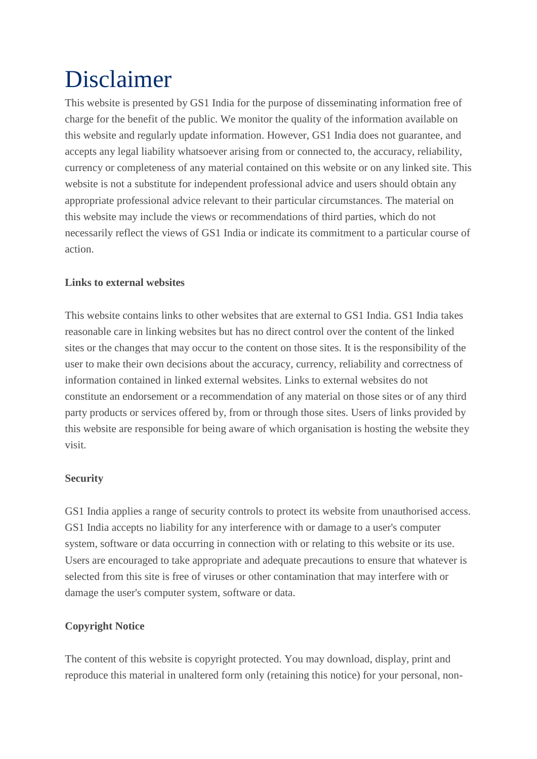# Disclaimer

This website is presented by GS1 India for the purpose of disseminating information free of charge for the benefit of the public. We monitor the quality of the information available on this website and regularly update information. However, GS1 India does not guarantee, and accepts any legal liability whatsoever arising from or connected to, the accuracy, reliability, currency or completeness of any material contained on this website or on any linked site. This website is not a substitute for independent professional advice and users should obtain any appropriate professional advice relevant to their particular circumstances. The material on this website may include the views or recommendations of third parties, which do not necessarily reflect the views of GS1 India or indicate its commitment to a particular course of action.

### **Links to external websites**

This website contains links to other websites that are external to GS1 India. GS1 India takes reasonable care in linking websites but has no direct control over the content of the linked sites or the changes that may occur to the content on those sites. It is the responsibility of the user to make their own decisions about the accuracy, currency, reliability and correctness of information contained in linked external websites. Links to external websites do not constitute an endorsement or a recommendation of any material on those sites or of any third party products or services offered by, from or through those sites. Users of links provided by this website are responsible for being aware of which organisation is hosting the website they visit.

#### **Security**

GS1 India applies a range of security controls to protect its website from unauthorised access. GS1 India accepts no liability for any interference with or damage to a user's computer system, software or data occurring in connection with or relating to this website or its use. Users are encouraged to take appropriate and adequate precautions to ensure that whatever is selected from this site is free of viruses or other contamination that may interfere with or damage the user's computer system, software or data.

## **Copyright Notice**

The content of this website is copyright protected. You may download, display, print and reproduce this material in unaltered form only (retaining this notice) for your personal, non